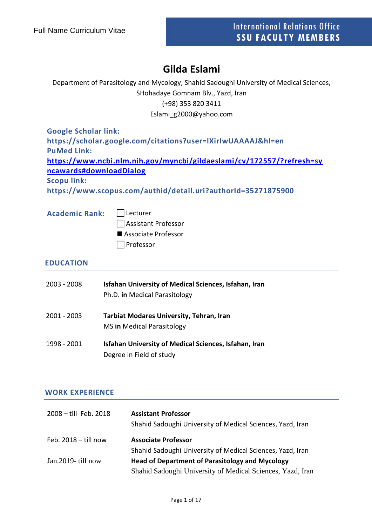# **Gilda Eslami**

Department of Parasitology and Mycology, Shahid Sadoughi University of Medical Sciences,

SHohadaye Gomnam Blv., Yazd, Iran

(+98) 353 820 3411

Eslami\_g2000@yahoo.com

**Google Scholar link: https://scholar.google.com/citations?user=lXirIwUAAAAJ&hl=en PuMed Link: [https://www.ncbi.nlm.nih.gov/myncbi/gildaeslami/cv/172557/?refresh=sy](https://www.ncbi.nlm.nih.gov/myncbi/gildaeslami/cv/172557/?refresh=syncawards#downloadDialog) [ncawards#downloadDialog](https://www.ncbi.nlm.nih.gov/myncbi/gildaeslami/cv/172557/?refresh=syncawards#downloadDialog) Scopu link:**

**https://www.scopus.com/authid/detail.uri?authorId=35271875900**

| Academic Rank:   Lecturer |                       |
|---------------------------|-----------------------|
|                           | Assistant Professor   |
|                           | ■ Associate Professor |
|                           | $\Box$ Professor      |

## **EDUCATION**

| 2003 - 2008 | Isfahan University of Medical Sciences, Isfahan, Iran<br>Ph.D. in Medical Parasitology |
|-------------|----------------------------------------------------------------------------------------|
| 2001 - 2003 | <b>Tarbiat Modares University, Tehran, Iran</b><br>MS in Medical Parasitology          |
| 1998 - 2001 | Isfahan University of Medical Sciences, Isfahan, Iran<br>Degree in Field of study      |

#### **WORK EXPERIENCE**

| 2008 - till Feb. 2018  | <b>Assistant Professor</b><br>Shahid Sadoughi University of Medical Sciences, Yazd, Iran |
|------------------------|------------------------------------------------------------------------------------------|
| Feb. $2018 -$ till now | <b>Associate Professor</b>                                                               |
|                        | Shahid Sadoughi University of Medical Sciences, Yazd, Iran                               |
| Jan. 2019 - till now   | <b>Head of Department of Parasitology and Mycology</b>                                   |
|                        | Shahid Sadoughi University of Medical Sciences, Yazd, Iran                               |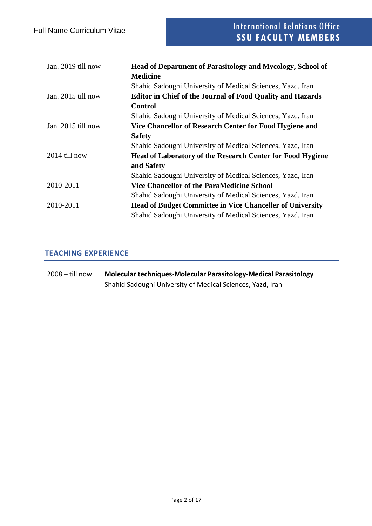| Jan. 2019 till now | Head of Department of Parasitology and Mycology, School of        |
|--------------------|-------------------------------------------------------------------|
|                    | <b>Medicine</b>                                                   |
|                    | Shahid Sadoughi University of Medical Sciences, Yazd, Iran        |
| Jan. 2015 till now | <b>Editor in Chief of the Journal of Food Quality and Hazards</b> |
|                    | <b>Control</b>                                                    |
|                    | Shahid Sadoughi University of Medical Sciences, Yazd, Iran        |
| Jan. 2015 till now | Vice Chancellor of Research Center for Food Hygiene and           |
|                    | <b>Safety</b>                                                     |
|                    | Shahid Sadoughi University of Medical Sciences, Yazd, Iran        |
| 2014 till now      | Head of Laboratory of the Research Center for Food Hygiene        |
|                    | and Safety                                                        |
|                    | Shahid Sadoughi University of Medical Sciences, Yazd, Iran        |
| 2010-2011          | <b>Vice Chancellor of the ParaMedicine School</b>                 |
|                    | Shahid Sadoughi University of Medical Sciences, Yazd, Iran        |
| 2010-2011          | <b>Head of Budget Committee in Vice Chanceller of University</b>  |
|                    | Shahid Sadoughi University of Medical Sciences, Yazd, Iran        |

## **TEACHING EXPERIENCE**

| $2008 -$ till now | Molecular techniques-Molecular Parasitology-Medical Parasitology |  |
|-------------------|------------------------------------------------------------------|--|
|                   | Shahid Sadoughi University of Medical Sciences, Yazd, Iran       |  |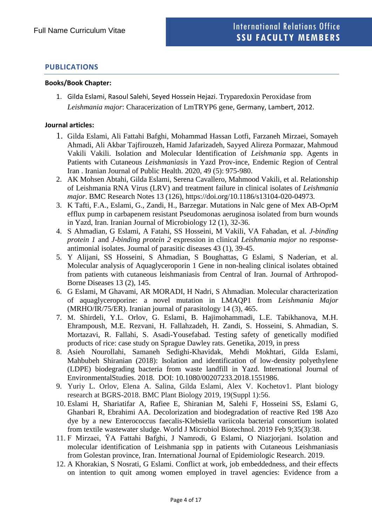# **PUBLICATIONS**

#### **Books/Book Chapter:**

1. Gilda Eslami, Rasoul Salehi, Seyed Hossein Hejazi. Tryparedoxin Peroxidase from *Leishmania major*: Characerization of LmTRYP6 gene, Germany, Lambert, 2012.

#### **Journal articles:**

- 1. Gilda Eslami, Ali Fattahi Bafghi, Mohammad Hassan Lotfi, Farzaneh Mirzaei, Somayeh Ahmadi, Ali Akbar Tajfirouzeh, Hamid Jafarizadeh, Sayyed Alireza Pormazar, Mahmoud Vakili Vakili. Isolation and Molecular Identification of *Leishmania* spp. Agents in Patients with Cutaneous *Leishmaniasis* in Yazd Prov-ince, Endemic Region of Central Iran . Iranian Journal of Public Health. 2020, 49 (5): 975-980.
- 2. AK Mohsen Abtahi, Gilda Eslami, Serena Cavallero, Mahmood Vakili, et al. Relationship of Leishmania RNA Virus (LRV) and treatment failure in clinical isolates of *Leishmania major*. BMC Research Notes 13 (126), https://doi.org/10.1186/s13104-020-04973.
- 3. K Tafti, F.A., Eslami, G., Zandi, H., Barzegar. Mutations in Nalc gene of Mex AB-OprM efflux pump in carbapenem resistant Pseudomonas aeruginosa isolated from burn wounds in Yazd, Iran. Iranian Journal of Microbiology 12 (1), 32-36.
- 4. S Ahmadian, G Eslami, A Fatahi, SS Hosseini, M Vakili, VA Fahadan, et al. *J*-*binding protein 1* and *J*-*binding protein 2* expression in clinical *Leishmania major* no responseantimonial isolates. Journal of parasitic diseases 43 (1), 39-45.
- 5. Y Alijani, SS Hosseini, S Ahmadian, S Boughattas, G Eslami, S Naderian, et al. Molecular analysis of Aquaglyceroporin 1 Gene in non-healing clinical isolates obtained from patients with cutaneous leishmaniasis from Central of Iran. Journal of Arthropod-Borne Diseases 13 (2), 145.
- 6. G Eslami, M Ghavami, AR MORADI, H Nadri, S Ahmadian. Molecular characterization of aquaglyceroporine: a novel mutation in LMAQP1 from *Leishmania Major* (MRHO/IR/75/ER). Iranian journal of parasitology 14 (3), 465.
- 7. M. Shirdeli, Y.L. Orlov, G. Eslami, B. Hajimohammadi, L.E. Tabikhanova, M.H. Ehrampoush, M.E. Rezvani, H. Fallahzadeh, H. Zandi, S. Hosseini, S. Ahmadian, S. Mortazavi, R. Fallahi, S. Asadi-Yousefabad. Testing safety of genetically modified products of rice: case study on Sprague Dawley rats. Genetika, 2019, in press
- 8. Asieh Nourollahi, Samaneh Sedighi-Khavidak, Mehdi Mokhtari, Gilda Eslami, Mahbubeh Shiranian (2018): Isolation and identification of low-density polyethylene (LDPE) biodegrading bacteria from waste landfill in Yazd. International Journal of EnvironmentalStudies. 2018. DOI: 10.1080/00207233.2018.1551986.
- 9. Yuriy L. Orlov, Elena A. Salina, Gilda Eslami, Alex V. Kochetov1. Plant biology research at BGRS-2018. BMC Plant Biology 2019, 19(Suppl 1):56.
- 10. Eslami H, Shariatifar A, Rafiee E, Shiranian M, Salehi F, Hosseini SS, Eslami G, Ghanbari R, Ebrahimi AA. Decolorization and biodegradation of reactive Red 198 Azo dye by a new Enterococcus faecalis-Klebsiella variicola bacterial consortium isolated from textile wastewater sludge. World J Microbiol Biotechnol. 2019 Feb 9;35(3):38.
- 11. F Mirzaei, ŸA Fattahi Bafghi, J Namrodi, G Eslami, O Niazjorjani. Isolation and molecular identification of Leishmania spp in patients with Cutaneous Leishmaniasis from Golestan province, Iran. International Journal of Epidemiologic Research. 2019.
- 12. A Khorakian, S Nosrati, G Eslami. Conflict at work, job embeddedness, and their effects on intention to quit among women employed in travel agencies: Evidence from a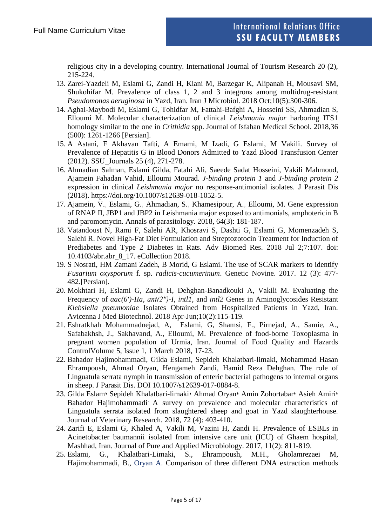religious city in a developing country. International Journal of Tourism Research 20 (2), 215-224.

- 13. Zarei-Yazdeli M, Eslami G, Zandi H, Kiani M, Barzegar K, Alipanah H, Mousavi SM, Shukohifar M. Prevalence of class 1, 2 and 3 integrons among multidrug-resistant *Pseudomonas aeruginosa* in Yazd, Iran. Iran J Microbiol. 2018 Oct;10(5):300-306.
- 14. Aghai-Maybodi M, Eslami G, Tohidfar M, Fattahi-Bafghi A, Hosseini SS, Ahmadian S, Elloumi M. Molecular characterization of clinical *Leishmania major* harboring ITS1 homology similar to the one in *Crithidia* spp. Journal of Isfahan Medical School. 2018,36 (500): 1261-1266 [Persian].
- 15. A Astani, F Akhavan Tafti, A Emami, M Izadi, G Eslami, M Vakili. Survey of Prevalence of Hepatitis G in Blood Donors Admitted to Yazd Blood Transfusion Center (2012). SSU\_Journals 25 (4), 271-278.
- 16. Ahmadian Salman, Eslami Gilda, Fatahi Ali, Saeede Sadat Hosseini, Vakili Mahmoud, Ajamein Fahadan Vahid, Elloumi Mourad. *J*-*binding protein 1* and *J*-*binding protein 2* expression in clinical *Leishmania major* no response-antimonial isolates. J Parasit Dis (2018). https://doi.org/10.1007/s12639-018-1052-5.
- 17. Ajamein, V., Eslami, G., Ahmadian, S., Khamesipour, A., Elloumi, M. Gene expression of RNAP II, JBP1 and JBP2 in Leishmania major exposed to antimonials, amphotericin B and paromomycin. Annals of parasitology. 2018, 64(3): 181-187.
- 18. Vatandoust N, Rami F, Salehi AR, Khosravi S, Dashti G, Eslami G, Momenzadeh S, Salehi R. Novel High-Fat Diet Formulation and Streptozotocin Treatment for Induction of Prediabetes and Type 2 Diabetes in Rats. Adv Biomed Res. 2018 Jul 2;7:107. doi: 10.4103/abr.abr\_8\_17. eCollection 2018.
- 19. S Nosrati, HM Zamani Zadeh, B Morid, G Eslami. The use of SCAR markers to identify *Fusarium oxysporum* f. sp. *radicis-cucumerinum*. Genetic Novine. 2017. 12 (3): 477- 482.[Persian].
- 20. Mokhtari H, Eslami G, Zandi H, Dehghan-Banadkouki A, Vakili M. Evaluating the Frequency of *aac(6')-IIa*, *ant(2″)-I*, *intl1*, and *intl2* Genes in Aminoglycosides Resistant *Klebsiella pneumoniae* Isolates Obtained from Hospitalized Patients in Yazd, Iran. Avicenna J Med Biotechnol. 2018 Apr-Jun;10(2):115-119.
- 21. Eshratkhah Mohammadnejad, A, [Eslami, G,](https://www.scopus.com/authid/detail.uri?authorId=35271875900&eid=2-s2.0-85043981328) Shamsi, F., Pirnejad, A., [Samie, A.,](https://www.scopus.com/authid/detail.uri?authorId=57201213589&eid=2-s2.0-85043981328) Safabakhsh, J., [Sakhavand, A.,](https://www.scopus.com/authid/detail.uri?authorId=57201215171&eid=2-s2.0-85043981328) [Elloumi, M.](https://www.scopus.com/authid/detail.uri?authorId=55602278800&eid=2-s2.0-85043981328) Prevalence of food-borne Toxoplasma in pregnant women population of Urmia, Iran. Journal of Food Quality and Hazards ControlVolume 5, Issue 1, 1 March 2018, 17-23.
- 22. Bahador Hajimohammadi, Gilda Eslami, Sepideh Khalatbari-limaki, Mohammad Hasan Ehrampoush, Ahmad Oryan, Hengameh Zandi, Hamid Reza Dehghan. The role of Linguatula serrata nymph in transmission of enteric bacterial pathogens to internal organs in sheep. J Parasit Dis. DOI 10.1007/s12639-017-0884-8.
- 23. Gilda Eslam؛ Sepideh Khalatbari-limaki؛ Ahmad Oryan؛ Amin Zohortabar؛ Asieh Amiri؛ Bahador Hajimohammadi. A survey on prevalence and molecular characteristics of Linguatula serrata isolated from slaughtered sheep and goat in Yazd slaughterhouse. Journal of Veterinary Research. 2018, 72 (4): 403-410.
- 24. Zarifi E, Eslami G, Khaled A, Vakili M, Vazini H, Zandi H. Prevalence of ESBLs in Acinetobacter baumannii isolated from intensive care unit (ICU) of Ghaem hospital, Mashhad, Iran. Journal of Pure and Applied Microbiology. 2017, 11(2): 811-819.
- 25. Eslami, G., Khalatbari-Limaki, S., Ehrampoush, M.H., Gholamrezaei M, Hajimohammadi, B., [Oryan A.](https://www.scopus.com/authid/detail.uri?origin=AuthorProfile&authorId=7004052039&zone=) Comparison of three different DNA extraction methods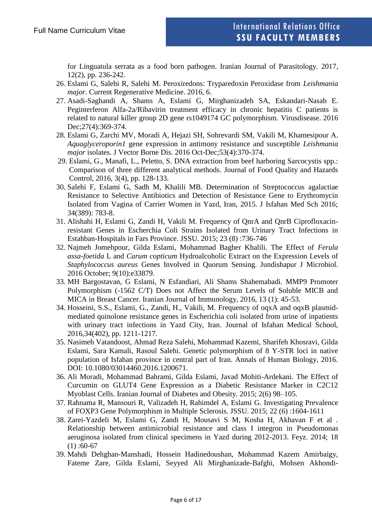for Linguatula serrata as a food born pathogen. Iranian Journal of Parasitology. 2017, 12(2), pp. 236-242.

- 26. Eslami G, Salehi R, Salehi M. Peroxiredons: Tryparedoxin Peroxidase from *Leishmania major*. Current Regenerative Medicine. 2016, 6.
- 27. Asadi-Saghandi A, Shams A, Eslami G, Mirghanizadeh SA, Eskandari-Nasab E. Peginterferon Alfa-2a/Ribavirin treatment efficacy in chronic hepatitis C patients is related to natural killer group 2D gene rs1049174 GC polymorphism. Virusdisease. 2016 Dec; 27(4): 369-374.
- 28. Eslami G, Zarchi MV, Moradi A, Hejazi SH, Sohrevardi SM, Vakili M, Khamesipour A. *Aquaglyceroporin1* gene expression in antimony resistance and susceptible *Leishmania major* isolates. J Vector Borne Dis. 2016 Oct-Dec;53(4):370-374.
- 29. Eslami, G., Manafi, L., Peletto, S. DNA extraction from beef harboring Sarcocystis spp.: Comparison of three different analytical methods. Journal of Food Quality and Hazards Control, 2016, 3(4), pp. 128-133.
- 30. Salehi F, Eslami G, Sadh M, Khalili MB. Determination of Streptococcus agalactiae Resistance to Selective Antibiotics and Detection of Resistance Gene to Erythromycin Isolated from Vagina of Carrier Women in Yazd, Iran, 2015. J Isfahan Med Sch 2016; 34(389): 783-8.
- 31. Alishahi H, Eslami G, Zandi H, Vakili M. Frequency of QnrA and QnrB Ciprofloxacinresistant Genes in Escherchia Coli Strains Isolated from Urinary Tract Infections in Estahban-Hospitals in Fars Province. JSSU. 2015; 23 (8) :736-746
- 32. Najmeh Jomehpour, Gilda Eslami, Mohammad Bagher Khalili. The Effect of *Ferula assa-foetida* L and *Carum copticum* Hydroalcoholic Extract on the Expression Levels of *Staphylococcus aureus* Genes Involved in Quorum Sensing. Jundishapur J Microbiol. 2016 October; 9(10):e33879.
- 33. MH Bargostavan, G Eslami, N Esfandiari, Ali Shams Shahemabadi. MMP9 Promoter Polymorphism (-1562 C/T) Does not Affect the Serum Levels of Soluble MICB and MICA in Breast Cancer. Iranian Journal of Immunology, 2016, 13 (1): 45-53.
- 34. Hosseini, S.S., Eslami, G., Zandi, H., Vakili, M. Frequency of oqxA and oqxB plasmidmediated quinolone resistance genes in Escherichia coli isolated from urine of inpatients with urinary tract infections in Yazd City, Iran. Journal of Isfahan Medical School, 2016,34(402), pp. 1211-1217.
- 35. Nasimeh Vatandoost, Ahmad Reza Salehi, Mohammad Kazemi, Sharifeh Khosravi, Gilda Eslami, Sara Kamali, Rasoul Salehi. Genetic polymorphism of 8 Y-STR loci in native population of Isfahan province in central part of Iran. Annals of Human Biology, 2016. DOI: 10.1080/03014460.2016.1200671.
- 36. Ali Moradi, Mohammad Bahrami, Gilda Eslami, Javad Mohiti-Ardekani. The Effect of Curcumin on GLUT4 Gene Expression as a Diabetic Resistance Marker in C2C12 Myoblast Cells. Iranian Journal of Diabetes and Obesity. 2015; 2(6) 98–105.
- 37. Rahnama R, Mansouri R, Valizadeh H, Rahimdel A, Eslami G. Investigating Prevalence of FOXP3 Gene Polymorphism in Multiple Sclerosis. JSSU. 2015; 22 (6) :1604-1611
- 38. Zarei-Yazdeli M, Eslami G, Zandi H, Mousavi S M, Kosha H, Akhavan F et al . Relationship between antimicrobial resistance and class I integron in Pseudomonas aeruginosa isolated from clinical specimens in Yazd during 2012-2013. Feyz. 2014; 18  $(1)$ :60-67
- 39. Mahdi Dehghan-Manshadi, Hossein Hadinedoushan, Mohammad Kazem Amirbaigy, Fateme Zare, Gilda Eslami, Seyyed Ali Mirghanizade-Bafghi, Mohsen Akhondi-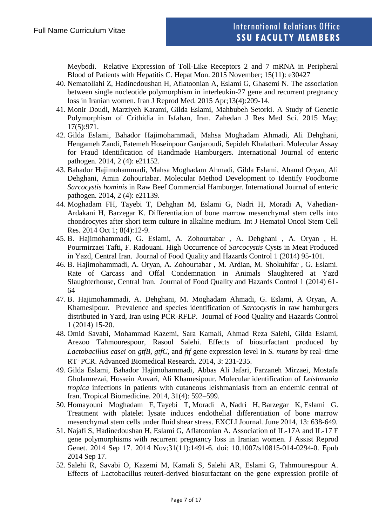Meybodi. Relative Expression of Toll-Like Receptors 2 and 7 mRNA in Peripheral Blood of Patients with Hepatitis C. Hepat Mon. 2015 November; 15(11): e30427

- 40. Nematollahi Z, Hadinedoushan H, Aflatoonian A, Eslami G, Ghasemi N. The association between single nucleotide polymorphism in interleukin-27 gene and recurrent pregnancy loss in Iranian women. Iran J Reprod Med. 2015 Apr;13(4):209-14.
- 41. Monir Doudi, Marziyeh Karami, Gilda Eslami, Mahbubeh Setorki. A Study of Genetic Polymorphism of Crithidia in Isfahan, Iran. Zahedan J Res Med Sci. 2015 May; 17(5):971.
- 42. Gilda Eslami, Bahador Hajimohammadi, Mahsa Moghadam Ahmadi, Ali Dehghani, Hengameh Zandi, Fatemeh Hoseinpour Ganjaroudi, Sepideh Khalatbari. Molecular Assay for Fraud Identification of Handmade Hamburgers. International Journal of enteric pathogen. 2014, 2 (4): e21152.
- 43. Bahador Hajimohammadi, Mahsa Moghadam Ahmadi, Gilda Eslami, Ahamd Oryan, Ali Dehghani, Amin Zohourtabar. Molecular Method Development to Identify Foodborne *Sarcocystis hominis* in Raw Beef Commercial Hamburger. International Journal of enteric pathogen. 2014, 2 (4): e21139.
- 44. Moghadam FH, Tayebi T, Dehghan M, Eslami G, Nadri H, Moradi A, Vahedian-Ardakani H, Barzegar K. Differentiation of bone marrow mesenchymal stem cells into chondrocytes after short term culture in alkaline medium. Int J Hematol Oncol Stem Cell Res. 2014 Oct 1; 8(4):12-9.
- 45. B. Hajimohammadi, G. Eslami, A. Zohourtabar , A. Dehghani , A. Oryan , H. Pourmirzaei Tafti, F. Radouani. High Occurrence of *Sarcocystis* Cysts in Meat Produced in Yazd, Central Iran. Journal of Food Quality and Hazards Control 1 (2014) 95-101.
- 46. B. Hajimohammadi, A. Oryan, A. Zohourtabar , M. Ardian, M. Shokuhifar , G. Eslami. Rate of Carcass and Offal Condemnation in Animals Slaughtered at Yazd Slaughterhouse, Central Iran. Journal of Food Quality and Hazards Control 1 (2014) 61- 64
- 47. B. Hajimohammadi, A. Dehghani, M. Moghadam Ahmadi, G. Eslami, A Oryan, A. Khamesipour. Prevalence and species identification of *Sarcocystis* in raw hamburgers distributed in Yazd, Iran using PCR-RFLP. Journal of Food Quality and Hazards Control 1 (2014) 15-20.
- 48. Omid Savabi, Mohammad Kazemi, Sara Kamali, Ahmad Reza Salehi, Gilda Eslami, Arezoo Tahmourespour, Rasoul Salehi. Effects of biosurfactant produced by *Lactobacillus casei* on *gtfB, gtfC,* and *ftf* gene expression level in *S. mutans* by real‑time RT‑PCR. Advanced Biomedical Research. 2014, 3: 231-235.
- 49. Gilda Eslami, Bahador Hajimohammadi, Abbas Ali Jafari, Farzaneh Mirzaei, Mostafa Gholamrezai, Hossein Anvari, Ali Khamesipour. Molecular identification of *Leishmania tropica* infections in patients with cutaneous leishmaniasis from an endemic central of Iran. Tropical Biomedicine. 2014, 31(4): 592–599.
- 50. Homayouni Moghadam F, Tayebi T, Moradi A, Nadri H, Barzegar K, Eslami G. Treatment with platelet lysate induces endothelial differentiation of bone marrow mesenchymal stem cells under fluid shear stress. EXCLI Journal. June 2014, 13: 638-649.
- 51. Najafi S, Hadinedoushan H, Eslami G, Aflatoonian A. Association of IL-17A and IL-17 F gene polymorphisms with recurrent pregnancy loss in Iranian women. J Assist Reprod Genet. 2014 Sep 17. 2014 Nov;31(11):1491-6. doi: 10.1007/s10815-014-0294-0. Epub 2014 Sep 17.
- 52. Salehi R, Savabi O, Kazemi M, Kamali S, Salehi AR, Eslami G, Tahmourespour A. Effects of Lactobacillus reuteri-derived biosurfactant on the gene expression profile of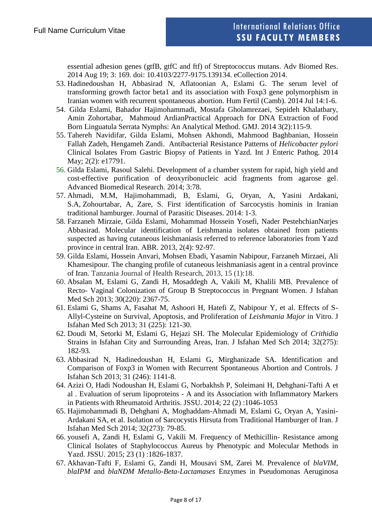essential adhesion genes (gtfB, gtfC and ftf) of Streptococcus mutans. Adv Biomed Res. 2014 Aug 19; 3: 169. doi: 10.4103/2277-9175.139134. eCollection 2014.

- 53. Hadinedoushan H, Abbasirad N, Aflatoonian A, Eslami G. The serum level of transforming growth factor beta1 and its association with Foxp3 gene polymorphism in Iranian women with recurrent spontaneous abortion. Hum Fertil (Camb). 2014 Jul 14:1-6.
- 54. Gilda Eslami, Bahador Hajimohammadi, Mostafa Gholamrezaei, Sepideh Khalatbary, Amin Zohortabar, Mahmoud ArdianPractical Approach for DNA Extraction of Food Born Linguatula Serrata Nymphs: An Analytical Method. GMJ. 2014 3(2):115-9.
- 55. Tahereh Navidifar, Gilda Eslami, Mohsen Akhondi, Mahmood Baghbanian, Hossein Fallah Zadeh, Hengameh Zandi. Antibacterial Resistance Patterns of *Helicobacter pylori*  Clinical Isolates From Gastric Biopsy of Patients in Yazd. Int J Enteric Pathog. 2014 May; 2(2): e17791.
- 56. Gilda Eslami, Rasoul Salehi. Development of a chamber system for rapid, high yield and cost-effective purification of deoxyribonucleic acid fragments from agarose gel. Advanced Biomedical Research. 2014; 3:78.
- 57. Ahmadi, M.M, Hajimohammadi, B, Eslami, G, Oryan, A, Yasini Ardakani, S.A, Zohourtabar, A, Zare, S. First identification of Sarcocystis hominis in Iranian traditional hamburger. Journal of Parasitic Diseases. 2014: 1-3.
- 58. Farzaneh Mirzaie, Gilda Eslami, Mohammad Hossein Yosefi, Nader PestehchianNarjes Abbasirad. Molecular identification of Leishmania isolates obtained from patients suspected as having cutaneous leishmaniasis referred to reference laboratories from Yazd province in central Iran. ABR. 2013, 2(4): 92-97.
- 59. Gilda Eslami, Hossein Anvari, Mohsen Ebadi, Yasamin Nabipour, Farzaneh Mirzaei, Ali Khamesipour. The changing profile of cutaneous leishmaniasis agent in a central province of Iran. Tanzania Journal of Health Research, 2013, 15 (1):18.
- 60. Absalan M, Eslami G, Zandi H, Mosaddegh A, Vakili M, Khalili MB. Prevalence of Recto- Vaginal Colonization of Group B Streptococcus in Pregnant Women. J Isfahan Med Sch 2013; 30(220): 2367-75.
- 61. Eslami G, Shams A, Fasahat M, Ashoori H, Hatefi Z, Nabipour Y, et al. Effects of S-Allyl-Cysteine on Survival, Apoptosis, and Proliferation of *Leishmania Major* in Vitro. J Isfahan Med Sch 2013; 31 (225): 121-30.
- 62. Doudi M, Setorki M, Eslami G, Hejazi SH. The Molecular Epidemiology of *Crithidia*  Strains in Isfahan City and Surrounding Areas, Iran. J Isfahan Med Sch 2014; 32(275): 182-93*.*
- 63. Abbasirad N, Hadinedoushan H, Eslami G, Mirghanizade SA. Identification and Comparison of Foxp3 in Women with Recurrent Spontaneous Abortion and Controls. J Isfahan Sch 2013; 31 (246): 1141-8.
- 64. Azizi O, Hadi Nodoushan H, Eslami G, Norbakhsh P, Soleimani H, Dehghani-Tafti A et al . Evaluation of serum lipoproteins - A and its Association with Inflammatory Markers in Patients with Rheumatoid Arthritis. JSSU. 2014; 22 (2) :1046-1053
- 65. Hajimohammadi B, Dehghani A, Moghaddam-Ahmadi M, Eslami G, Oryan A, Yasini-Ardakani SA, et al. Isolation of Sarcocystis Hirsuta from Traditional Hamburger of Iran. J Isfahan Med Sch 2014; 32(273): 79-85.
- 66. yousefi A, Zandi H, Eslami G, Vakili M. Frequency of Methicillin- Resistance among Clinical Isolates of Staphylococcus Aureus by Phenotypic and Molecular Methods in Yazd. JSSU. 2015; 23 (1) :1826-1837.
- 67. Akhavan-Tafti F, Eslami G, Zandi H, Mousavi SM, Zarei M. Prevalence of *blaVIM, blaIPM* and *blaNDM Metallo-Beta-Lactamases* Enzymes in Pseudomonas Aeruginosa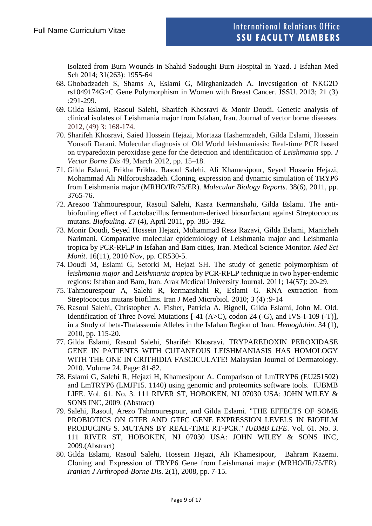Isolated from Burn Wounds in Shahid Sadoughi Burn Hospital in Yazd. J Isfahan Med Sch 2014; 31(263): 1955-64

- 68. Ghobadzadeh S, Shams A, Eslami G, Mirghanizadeh A. Investigation of NKG2D rs1049174G>C Gene Polymorphism in Women with Breast Cancer. JSSU. 2013; 21 (3) :291-299.
- 69. Gilda Eslami, Rasoul Salehi, Sharifeh Khosravi & Monir Doudi. Genetic analysis of clinical isolates of Leishmania major from Isfahan, Iran. Journal of vector borne diseases. 2012, (49) 3: 168-174.
- 70. Sharifeh Khosravi, Saied Hossein Hejazi, Mortaza Hashemzadeh, Gilda Eslami, Hossein Yousofi Darani. Molecular diagnosis of Old World leishmaniasis: Real-time PCR based on tryparedoxin peroxidase gene for the detection and identification of *Leishmania* spp. *J Vector Borne Dis* 49, March 2012, pp. 15–18.
- 71. Gilda Eslami, Frikha Frikha, Rasoul Salehi, Ali Khamesipour, Seyed Hossein Hejazi, Mohammad Ali Nilforoushzadeh. Cloning, expression and dynamic simulation of TRYP6 from Leishmania major (MRHO/IR/75/ER). *Molecular Biology Reports*. 38(6), 2011, pp. 3765-76.
- 72. Arezoo Tahmourespour, Rasoul Salehi, Kasra Kermanshahi, Gilda Eslami. The antibiofouling effect of Lactobacillus fermentum-derived biosurfactant against Streptococcus mutans. *Biofouling*. 27 (4), April 2011, pp. 385–392.
- 73. Monir Doudi, Seyed Hossein Hejazi, Mohammad Reza Razavi, Gilda Eslami, Manizheh Narimani. Comparative molecular epidemiology of Leishmania major and Leishmania tropica by PCR-RFLP in Isfahan and Bam cities, Iran. Medical Science Monitor. *Med Sci Monit*. 16(11), 2010 Nov, pp. CR530-5.
- 74. Doudi M, Eslami G, Setorki M, Hejazi SH. The study of genetic polymorphism of *leishmania major* and *Leishmania tropica* by PCR-RFLP technique in two hyper-endemic regions: Isfahan and Bam, Iran. Arak Medical University Journal. 2011; 14(57): 20-29.
- 75. Tahmourespour A, Salehi R, kermanshahi R, Eslami G. RNA extraction from Streptococcus mutans biofilms. Iran J Med Microbiol. 2010; 3 (4) :9-14
- 76. Rasoul Salehi, Christopher A. Fisher, Patricia A. Bignell, Gilda Eslami, John M. Old. Identification of Three Novel Mutations [-41 (A>C), codon 24 (-G), and IVS-I-109 (-T)], in a Study of beta-Thalassemia Alleles in the Isfahan Region of Iran. *Hemoglobin*. 34 (1), 2010, pp. 115-20.
- 77. Gilda Eslami, Rasoul Salehi, Sharifeh Khosravi. TRYPAREDOXIN PEROXIDASE GENE IN PATIENTS WITH CUTANEOUS LEISHMANIASIS HAS HOMOLOGY WITH THE ONE IN CRITHIDIA FASCICULATE! Malaysian Journal of Dermatology. 2010. Volume 24. Page: 81-82.
- 78. Eslami G, Salehi R, Hejazi H, Khamesipour A. Comparison of LmTRYP6 (EU251502) and LmTRYP6 (LMJF15. 1140) using genomic and proteomics software tools. IUBMB LIFE. Vol. 61. No. 3. 111 RIVER ST, HOBOKEN, NJ 07030 USA: JOHN WILEY & SONS INC, 2009. (Abstract)
- 79. Salehi, Rasoul, Arezo Tahmourespour, and Gilda Eslami. "THE EFFECTS OF SOME PROBIOTICS ON GTFB AND GTFC GENE EXPRESSION LEVELS IN BIOFILM PRODUCING S. MUTANS BY REAL-TIME RT-PCR." *IUBMB LIFE*. Vol. 61. No. 3. 111 RIVER ST, HOBOKEN, NJ 07030 USA: JOHN WILEY & SONS INC, 2009.(Abstract)
- 80. Gilda Eslami, Rasoul Salehi, Hossein Hejazi, Ali Khamesipour, Bahram Kazemi. Cloning and Expression of TRYP6 Gene from Leishmanai major (MRHO/IR/75/ER). *Iranian J Arthropod-Borne Dis*. 2(1), 2008, pp. 7-15.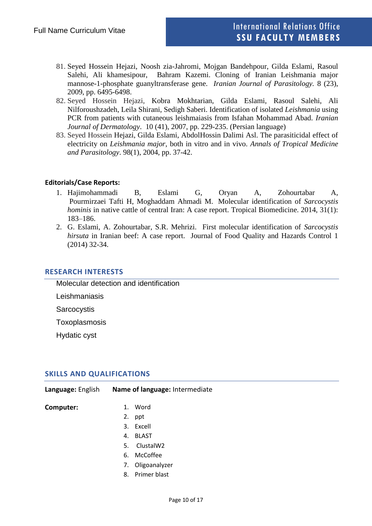- 81. Seyed Hossein Hejazi, Noosh zia-Jahromi, Mojgan Bandehpour, Gilda Eslami, Rasoul Salehi, Ali khamesipour, Bahram Kazemi. Cloning of Iranian Leishmania major mannose-1-phosphate guanyltransferase gene. *Iranian Journal of Parasitology.* 8 (23), 2009, pp. 6495-6498.
- 82. Seyed Hossein Hejazi, Kobra Mokhtarian, Gilda Eslami, Rasoul Salehi, Ali Nilforoushzadeh, Leila Shirani, Sedigh Saberi. Identification of isolated *Leishmania* using PCR from patients with cutaneous leishmaiasis from Isfahan Mohammad Abad. *Iranian Journal of Dermatology*. 10 (41), 2007, pp. 229-235. (Persian language)
- 83. Seyed Hossein Hejazi, Gilda Eslami, AbdolHossin Dalimi Asl. The parasiticidal effect of electricity on *Leishmania major,* both in vitro and in vivo. *Annals of Tropical Medicine and Parasitology*. 98(1), 2004, pp. 37-42.

## **Editorials/Case Reports:**

- 1. Hajimohammadi B, Eslami G, Oryan A, Zohourtabar A, Pourmirzaei Tafti H, Moghaddam Ahmadi M. Molecular identification of *Sarcocystis hominis* in native cattle of central Iran: A case report. Tropical Biomedicine. 2014, 31(1): 183–186.
- 2. G. Eslami, A. Zohourtabar, S.R. Mehrizi. First molecular identification of *Sarcocystis hirsuta* in Iranian beef: A case report. Journal of Food Quality and Hazards Control 1 (2014) 32-34.

#### **RESEARCH INTERESTS**

Molecular detection and identification

Leishmaniasis

**Sarcocystis** 

Toxoplasmosis

Hydatic cyst

## **SKILLS AND QUALIFICATIONS**

| Language: English | Name of language: Intermediate |  |
|-------------------|--------------------------------|--|
| Computer:         | 1. Word                        |  |
|                   | 2. ppt                         |  |
|                   | 3. Excell                      |  |

- 4. BLAST
- 5. ClustalW2
- 6. McCoffee
- 7. Oligoanalyzer
- 8. Primer blast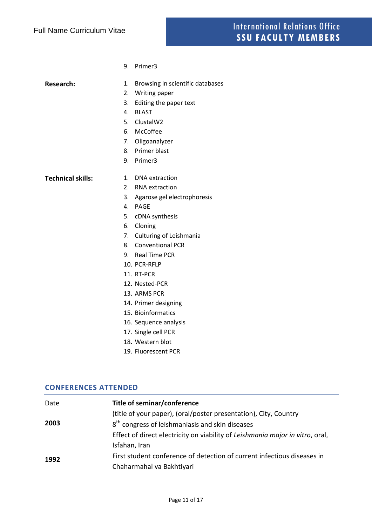9. Primer3

- **Research:** 1. Browsing in scientific databases
	- 2. Writing paper
	- 3. Editing the paper text
	- 4. BLAST
	- 5. ClustalW2
	- 6. McCoffee
	- 7. Oligoanalyzer
	- 8. Primer blast
	- 9. Primer3

**Technical skills:** 1. DNA extraction

- 
- 2. RNA extraction
- 3. Agarose gel electrophoresis
- 4. PAGE
- 5. cDNA synthesis
- 6. Cloning
- 7. Culturing of Leishmania
- 8. Conventional PCR
- 9. Real Time PCR
- 10. PCR-RFLP
- 11. RT-PCR
- 12. Nested-PCR
- 13. ARMS PCR
- 14. Primer designing
- 15. Bioinformatics
- 16. Sequence analysis
- 17. Single cell PCR
- 18. Western blot
- 19. Fluorescent PCR

#### **CONFERENCES ATTENDED**

| Date | Title of seminar/conference                                                   |
|------|-------------------------------------------------------------------------------|
|      | (title of your paper), (oral/poster presentation), City, Country              |
| 2003 | 8 <sup>th</sup> congress of leishmaniasis and skin diseases                   |
|      | Effect of direct electricity on viability of Leishmania major in vitro, oral, |
|      | Isfahan, Iran                                                                 |
| 1992 | First student conference of detection of current infectious diseases in       |
|      | Chaharmahal va Bakhtiyari                                                     |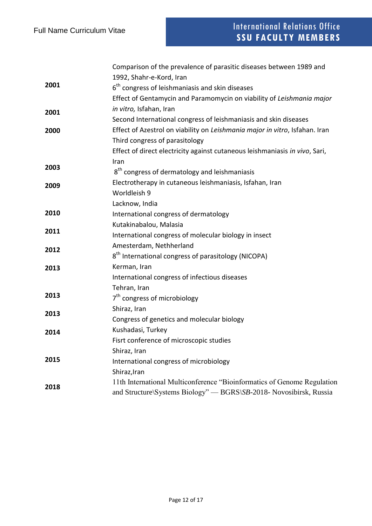|      | Comparison of the prevalence of parasitic diseases between 1989 and         |
|------|-----------------------------------------------------------------------------|
|      | 1992, Shahr-e-Kord, Iran                                                    |
| 2001 | $6th$ congress of leishmaniasis and skin diseases                           |
|      | Effect of Gentamycin and Paramomycin on viability of Leishmania major       |
| 2001 | in vitro, Isfahan, Iran                                                     |
|      | Second International congress of leishmaniasis and skin diseases            |
| 2000 | Effect of Azestrol on viability on Leishmania major in vitro, Isfahan. Iran |
|      | Third congress of parasitology                                              |
|      | Effect of direct electricity against cutaneous leishmaniasis in vivo, Sari, |
|      | Iran                                                                        |
| 2003 | 8 <sup>th</sup> congress of dermatology and leishmaniasis                   |
| 2009 | Electrotherapy in cutaneous leishmaniasis, Isfahan, Iran                    |
|      | Worldleish 9                                                                |
|      | Lacknow, India                                                              |
| 2010 | International congress of dermatology                                       |
|      | Kutakinabalou, Malasia                                                      |
| 2011 | International congress of molecular biology in insect                       |
| 2012 | Amesterdam, Nethherland                                                     |
|      | 8 <sup>th</sup> International congress of parasitology (NICOPA)             |
| 2013 | Kerman, Iran                                                                |
|      | International congress of infectious diseases                               |
|      | Tehran, Iran                                                                |
| 2013 | 7 <sup>th</sup> congress of microbiology                                    |
|      | Shiraz, Iran                                                                |
| 2013 | Congress of genetics and molecular biology                                  |
| 2014 | Kushadasi, Turkey                                                           |
|      | Fisrt conference of microscopic studies                                     |
|      | Shiraz, Iran                                                                |
| 2015 | International congress of microbiology                                      |
|      | Shiraz, Iran                                                                |
| 2018 | 11th International Multiconference "Bioinformatics of Genome Regulation     |
|      | and Structure\Systems Biology" - BGRS\SB-2018- Novosibirsk, Russia          |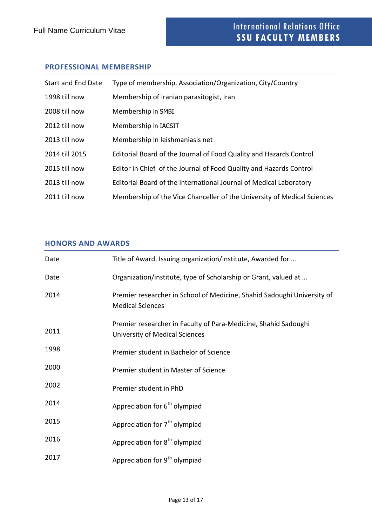## **PROFESSIONAL MEMBERSHIP**

| <b>Start and End Date</b> | Type of membership, Association/Organization, City/Country              |
|---------------------------|-------------------------------------------------------------------------|
| 1998 till now             | Membership of Iranian parasitogist, Iran                                |
| 2008 till now             | Membership in SMBI                                                      |
| 2012 till now             | Membership in IACSIT                                                    |
| 2013 till now             | Membership in leishmaniasis net                                         |
| 2014 till 2015            | Editorial Board of the Journal of Food Quality and Hazards Control      |
| 2015 till now             | Editor in Chief of the Journal of Food Quality and Hazards Control      |
| 2013 till now             | Editorial Board of the International Journal of Medical Laboratory      |
| 2011 till now             | Membership of the Vice Chanceller of the University of Medical Sciences |

# **HONORS AND AWARDS**

| Date | Title of Award, Issuing organization/institute, Awarded for                                        |
|------|----------------------------------------------------------------------------------------------------|
| Date | Organization/institute, type of Scholarship or Grant, valued at                                    |
| 2014 | Premier researcher in School of Medicine, Shahid Sadoughi University of<br><b>Medical Sciences</b> |
| 2011 | Premier researcher in Faculty of Para-Medicine, Shahid Sadoughi<br>University of Medical Sciences  |
| 1998 | Premier student in Bachelor of Science                                                             |
| 2000 | Premier student in Master of Science                                                               |
| 2002 | Premier student in PhD                                                                             |
| 2014 | Appreciation for 6 <sup>th</sup> olympiad                                                          |
| 2015 | Appreciation for 7 <sup>th</sup> olympiad                                                          |
| 2016 | Appreciation for 8 <sup>th</sup> olympiad                                                          |
| 2017 | Appreciation for 9 <sup>th</sup> olympiad                                                          |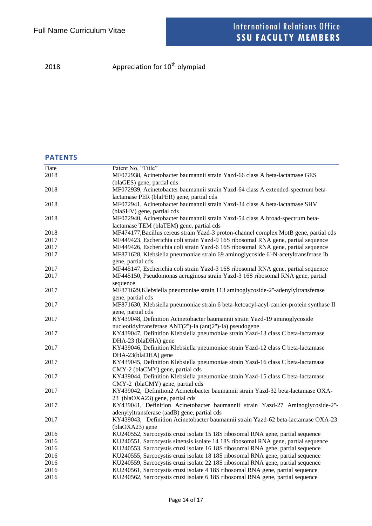2018 **Appreciation for 10<sup>th</sup> olympiad** 

# **PATENTS**

| Date | Patent No, "Title"                                                                      |
|------|-----------------------------------------------------------------------------------------|
| 2018 | MF072938, Acinetobacter baumannii strain Yazd-66 class A beta-lactamase GES             |
|      | (blaGES) gene, partial cds                                                              |
| 2018 | MF072939, Acinetobacter baumannii strain Yazd-64 class A extended-spectrum beta-        |
|      | lactamase PER (blaPER) gene, partial cds                                                |
| 2018 | MF072941, Acinetobacter baumannii strain Yazd-34 class A beta-lactamase SHV             |
|      | (blaSHV) gene, partial cds                                                              |
| 2018 | MF072940, Acinetobacter baumannii strain Yazd-54 class A broad-spectrum beta-           |
|      | lactamase TEM (blaTEM) gene, partial cds                                                |
| 2018 | MF474177, Bacillus cereus strain Yazd-3 proton-channel complex MotB gene, partial cds   |
| 2017 | MF449423, Escherichia coli strain Yazd-9 16S ribosomal RNA gene, partial sequence       |
| 2017 | MF449426, Escherichia coli strain Yazd-6 16S ribosomal RNA gene, partial sequence       |
| 2017 | MF871628, Klebsiella pneumoniae strain 69 aminoglycoside 6'-N-acetyltransferase Ib      |
|      | gene, partial cds                                                                       |
| 2017 | MF445147, Escherichia coli strain Yazd-3 16S ribosomal RNA gene, partial sequence       |
| 2017 | MF445150, Pseudomonas aeruginosa strain Yazd-3 16S ribosomal RNA gene, partial          |
|      | sequence                                                                                |
| 2017 | MF871629, Klebsiella pneumoniae strain 113 aminoglycoside-2"-adenylyltransferase        |
|      | gene, partial cds                                                                       |
| 2017 | MF871630, Klebsiella pneumoniae strain 6 beta-ketoacyl-acyl-carrier-protein synthase II |
|      | gene, partial cds                                                                       |
| 2017 | KY439048, Definition Acinetobacter baumannii strain Yazd-19 aminoglycoside              |
|      | nucleotidyltransferase ANT(2")-Ia (ant(2")-Ia) pseudogene                               |
| 2017 | KY439047, Definition Klebsiella pneumoniae strain Yazd-13 class C beta-lactamase        |
|      | DHA-23 (blaDHA) gene                                                                    |
| 2017 | KY439046, Definition Klebsiella pneumoniae strain Yazd-12 class C beta-lactamase        |
|      | DHA-23(blaDHA) gene                                                                     |
| 2017 | KY439045, Definition Klebsiella pneumoniae strain Yazd-16 class C beta-lactamase        |
|      | CMY-2 (blaCMY) gene, partial cds                                                        |
| 2017 | KY439044, Definition Klebsiella pneumoniae strain Yazd-15 class C beta-lactamase        |
|      | CMY-2 (blaCMY) gene, partial cds                                                        |
| 2017 | KY439042, Definition2 Acinetobacter baumannii strain Yazd-32 beta-lactamase OXA-        |
|      | 23 (blaOXA23) gene, partial cds                                                         |
| 2017 | KY439041, Definition Acinetobacter baumannii strain Yazd-27 Aminoglycoside-2"-          |
|      | adenylyltransferase (aadB) gene, partial cds                                            |
| 2017 | KY439043, Definition Acinetobacter baumannii strain Yazd-62 beta-lactamase OXA-23       |
|      | (blaOXA23) gene                                                                         |
| 2016 | KU240552, Sarcocystis cruzi isolate 15 18S ribosomal RNA gene, partial sequence         |
| 2016 | KU240551, Sarcocystis sinensis isolate 14 18S ribosomal RNA gene, partial sequence      |
| 2016 | KU240553, Sarcocystis cruzi isolate 16 18S ribosomal RNA gene, partial sequence         |
| 2016 | KU240555, Sarcocystis cruzi isolate 18 18S ribosomal RNA gene, partial sequence         |
| 2016 | KU240559, Sarcocystis cruzi isolate 22 18S ribosomal RNA gene, partial sequence         |
| 2016 | KU240561, Sarcocystis cruzi isolate 4 18S ribosomal RNA gene, partial sequence          |
| 2016 | KU240562, Sarcocystis cruzi isolate 6 18S ribosomal RNA gene, partial sequence          |
|      |                                                                                         |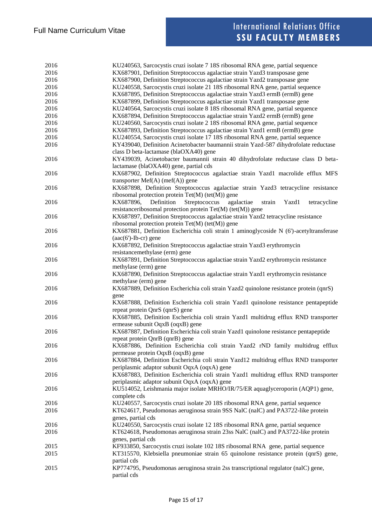| 2016 | KU240563, Sarcocystis cruzi isolate 7 18S ribosomal RNA gene, partial sequence                                                                |
|------|-----------------------------------------------------------------------------------------------------------------------------------------------|
| 2016 | KX687901, Definition Streptococcus agalactiae strain Yazd3 transposase gene                                                                   |
| 2016 | KX687900, Definition Streptococcus agalactiae strain Yazd2 transposase gene                                                                   |
| 2016 | KU240558, Sarcocystis cruzi isolate 21 18S ribosomal RNA gene, partial sequence                                                               |
| 2016 | KX687895, Definition Streptococcus agalactiae strain Yazd3 ermB (ermB) gene                                                                   |
| 2016 | KX687899, Definition Streptococcus agalactiae strain Yazd1 transposase gene                                                                   |
| 2016 | KU240564, Sarcocystis cruzi isolate 8 18S ribosomal RNA gene, partial sequence                                                                |
| 2016 | KX687894, Definition Streptococcus agalactiae strain Yazd2 ermB (ermB) gene                                                                   |
| 2016 | KU240560, Sarcocystis cruzi isolate 2 18S ribosomal RNA gene, partial sequence                                                                |
| 2016 | KX687893, Definition Streptococcus agalactiae strain Yazd1 ermB (ermB) gene                                                                   |
| 2016 | KU240554, Sarcocystis cruzi isolate 17 18S ribosomal RNA gene, partial sequence                                                               |
| 2016 | KY439040, Definition Acinetobacter baumannii strain Yazd-587 dihydrofolate reductase                                                          |
|      | class D beta-lactamase (blaOXA40) gene                                                                                                        |
| 2016 | KY439039, Acinetobacter baumannii strain 40 dihydrofolate reductase class D beta-                                                             |
|      | lactamase (blaOXA40) gene, partial cds                                                                                                        |
| 2016 | KX687902, Definition Streptococcus agalactiae strain Yazd1 macrolide efflux MFS                                                               |
|      | transporter $Mef(A)$ (mef(A)) gene                                                                                                            |
| 2016 | KX687898, Definition Streptococcus agalactiae strain Yazd3 tetracycline resistance<br>ribosomal protection protein $Tet(M)$ (tet $(M)$ ) gene |
| 2016 | Definition<br>Streptococcus<br>KX687896,<br>agalactiae<br>strain<br>Yazd1<br>tetracycline                                                     |
|      | resistanceribosomal protection protein Tet(M) (tet(M)) gene                                                                                   |
| 2016 | KX687897, Definition Streptococcus agalactiae strain Yazd2 tetracycline resistance                                                            |
|      | ribosomal protection protein Tet(M) (tet(M)) gene                                                                                             |
| 2016 | KX687881, Definition Escherichia coli strain 1 aminoglycoside N (6')-acetyltransferase                                                        |
|      | $(aac(6')-Ib-cr)$ gene                                                                                                                        |
| 2016 | KX687892, Definition Streptococcus agalactiae strain Yazd3 erythromycin                                                                       |
|      | resistancemethylase (erm) gene                                                                                                                |
| 2016 | KX687891, Definition Streptococcus agalactiae strain Yazd2 erythromycin resistance                                                            |
|      | methylase (erm) gene                                                                                                                          |
| 2016 | KX687890, Definition Streptococcus agalactiae strain Yazd1 erythromycin resistance                                                            |
|      | methylase (erm) gene                                                                                                                          |
| 2016 | KX687889, Definition Escherichia coli strain Yazd2 quinolone resistance protein (qnrS)                                                        |
|      | gene                                                                                                                                          |
| 2016 | KX687888, Definition Escherichia coli strain Yazd1 quinolone resistance pentapeptide                                                          |
|      | repeat protein QnrS (qnrS) gene                                                                                                               |
| 2016 | KX687885, Definition Escherichia coli strain Yazd1 multidrug efflux RND transporter                                                           |
|      | ermease subunit OqxB (oqxB) gene                                                                                                              |
| 2016 | KX687887, Definition Escherichia coli strain Yazd1 quinolone resistance pentapeptide                                                          |
|      |                                                                                                                                               |
|      | repeat protein QnrB (qnrB) gene                                                                                                               |
| 2016 | KX687886, Definition Escherichia coli strain Yazd2 rND family multidrug efflux                                                                |
|      | permease protein OqxB (oqxB) gene                                                                                                             |
| 2016 | KX687884, Definition Escherichia coli strain Yazd12 multidrug efflux RND transporter                                                          |
|      | periplasmic adaptor subunit OqxA (oqxA) gene                                                                                                  |
| 2016 | KX687883, Definition Escherichia coli strain Yazd1 multidrug efflux RND transporter                                                           |
|      | periplasmic adaptor subunit OqxA (oqxA) gene                                                                                                  |
| 2016 | KU514052, Leishmania major isolate MRHO/IR/75/ER aquaglyceroporin (AQP1) gene,                                                                |
|      | complete cds                                                                                                                                  |
| 2016 | KU240557, Sarcocystis cruzi isolate 20 18S ribosomal RNA gene, partial sequence                                                               |
| 2016 | KT624617, Pseudomonas aeruginosa strain 9SS NalC (nalC) and PA3722-like protein                                                               |
|      | genes, partial cds                                                                                                                            |
| 2016 | KU240550, Sarcocystis cruzi isolate 12 18S ribosomal RNA gene, partial sequence                                                               |
| 2016 | KT624618, Pseudomonas aeruginosa strain 23ss NalC (nalC) and PA3722-like protein                                                              |
|      | genes, partial cds                                                                                                                            |
| 2015 | KF933850, Sarcocystis cruzi isolate 102 18S ribosomal RNA gene, partial sequence                                                              |
| 2015 | KT315570, Klebsiella pneumoniae strain 65 quinolone resistance protein (qnrS) gene,                                                           |
|      | partial cds                                                                                                                                   |
| 2015 | KP774795, Pseudomonas aeruginosa strain 2ss transcriptional regulator (nalC) gene,                                                            |
|      | partial cds                                                                                                                                   |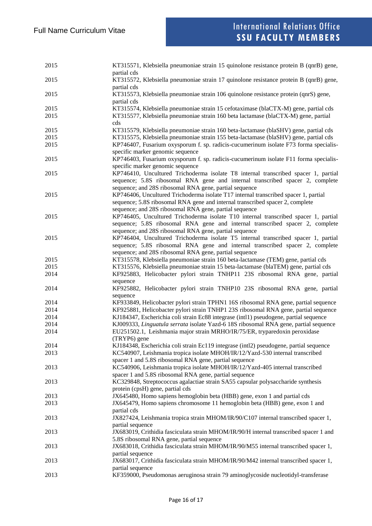| 2015 | KT315571, Klebsiella pneumoniae strain 15 quinolone resistance protein B (qnrB) gene,<br>partial cds                                    |
|------|-----------------------------------------------------------------------------------------------------------------------------------------|
| 2015 | KT315572, Klebsiella pneumoniae strain 17 quinolone resistance protein B (qnrB) gene,<br>partial cds                                    |
| 2015 | KT315573, Klebsiella pneumoniae strain 106 quinolone resistance protein (qnrS) gene,<br>partial cds                                     |
| 2015 | KT315574, Klebsiella pneumoniae strain 15 cefotaximase (blaCTX-M) gene, partial cds                                                     |
| 2015 | KT315577, Klebsiella pneumoniae strain 160 beta lactamase (blaCTX-M) gene, partial<br>cds                                               |
| 2015 | KT315579, Klebsiella pneumoniae strain 160 beta-lactamase (blaSHV) gene, partial cds                                                    |
| 2015 | KT315575, Klebsiella pneumoniae strain 155 beta-lactamase (blaSHV) gene, partial cds                                                    |
| 2015 | KP746407, Fusarium oxysporum f. sp. radicis-cucumerinum isolate F73 forma specialis-<br>specific marker genomic sequence                |
| 2015 | KP746403, Fusarium oxysporum f. sp. radicis-cucumerinum isolate F11 forma specialis-<br>specific marker genomic sequence                |
| 2015 | KP746410, Uncultured Trichoderma isolate T8 internal transcribed spacer 1, partial                                                      |
|      | sequence; 5.8S ribosomal RNA gene and internal transcribed spacer 2, complete<br>sequence; and 28S ribosomal RNA gene, partial sequence |
| 2015 | KP746406, Uncultured Trichoderma isolate T17 internal transcribed spacer 1, partial                                                     |
|      | sequence; 5.8S ribosomal RNA gene and internal transcribed spacer 2, complete<br>sequence; and 28S ribosomal RNA gene, partial sequence |
| 2015 | KP746405, Uncultured Trichoderma isolate T10 internal transcribed spacer 1, partial                                                     |
|      | sequence; 5.8S ribosomal RNA gene and internal transcribed spacer 2, complete<br>sequence; and 28S ribosomal RNA gene, partial sequence |
| 2015 | KP746404, Uncultured Trichoderma isolate T5 internal transcribed spacer 1, partial                                                      |
|      | sequence; 5.8S ribosomal RNA gene and internal transcribed spacer 2, complete<br>sequence; and 28S ribosomal RNA gene, partial sequence |
| 2015 | KT315578, Klebsiella pneumoniae strain 160 beta-lactamase (TEM) gene, partial cds                                                       |
| 2015 | KT315576, Klebsiella pneumoniae strain 15 beta-lactamase (blaTEM) gene, partial cds                                                     |
| 2014 | KF925883, Helicobacter pylori strain TNHP11 23S ribosomal RNA gene, partial                                                             |
|      | sequence                                                                                                                                |
| 2014 | KF925882, Helicobacter pylori strain TNHP10 23S ribosomal RNA gene, partial                                                             |
|      | sequence                                                                                                                                |
| 2014 | KF933849, Helicobacter pylori strain TPHN1 16S ribosomal RNA gene, partial sequence                                                     |
| 2014 | KF925881, Helicobacter pylori strain TNHP1 23S ribosomal RNA gene, partial sequence                                                     |
| 2014 | KJ184347, Escherichia coli strain Ec88 integrase (intl1) pseudogene, partial sequence                                                   |
| 2014 | KJ009333, Linguatula serrata isolate Yazd-6 18S ribosomal RNA gene, partial sequence                                                    |
| 2014 | EU251502.1, Leishmania major strain MRHO/IR/75/ER, tryparedoxin peroxidase<br>(TRYP6) gene                                              |
| 2014 | KJ184348, Escherichia coli strain Ec119 integrase (intl2) pseudogene, partial sequence                                                  |
| 2013 | KC540907, Leishmania tropica isolate MHOH/IR/12/Yazd-530 internal transcribed<br>spacer 1 and 5.8S ribosomal RNA gene, partial sequence |
| 2013 | KC540906, Leishmania tropica isolate MHOH/IR/12/Yazd-405 internal transcribed<br>spacer 1 and 5.8S ribosomal RNA gene, partial sequence |
| 2013 | KC329848, Streptococcus agalactiae strain SA55 capsular polysaccharide synthesis<br>protein (cpsH) gene, partial cds                    |
| 2013 | JX645480, Homo sapiens hemoglobin beta (HBB) gene, exon 1 and partial cds                                                               |
| 2013 | JX645479, Homo sapiens chromosome 11 hemoglobin beta (HBB) gene, exon 1 and<br>partial cds                                              |
| 2013 | JX827424, Leishmania tropica strain MHOM/IR/90/C107 internal transcribed spacer 1,<br>partial sequence                                  |
| 2013 | JX683019, Crithidia fasciculata strain MHOM/IR/90/H internal transcribed spacer 1 and<br>5.8S ribosomal RNA gene, partial sequence      |
| 2013 | JX683018, Crithidia fasciculata strain MHOM/IR/90/M55 internal transcribed spacer 1,                                                    |
| 2013 | partial sequence<br>JX683017, Crithidia fasciculata strain MHOM/IR/90/M42 internal transcribed spacer 1,                                |
| 2013 | partial sequence<br>KF359000, Pseudomonas aeruginosa strain 79 aminoglycoside nucleotidyl-transferase                                   |
|      |                                                                                                                                         |